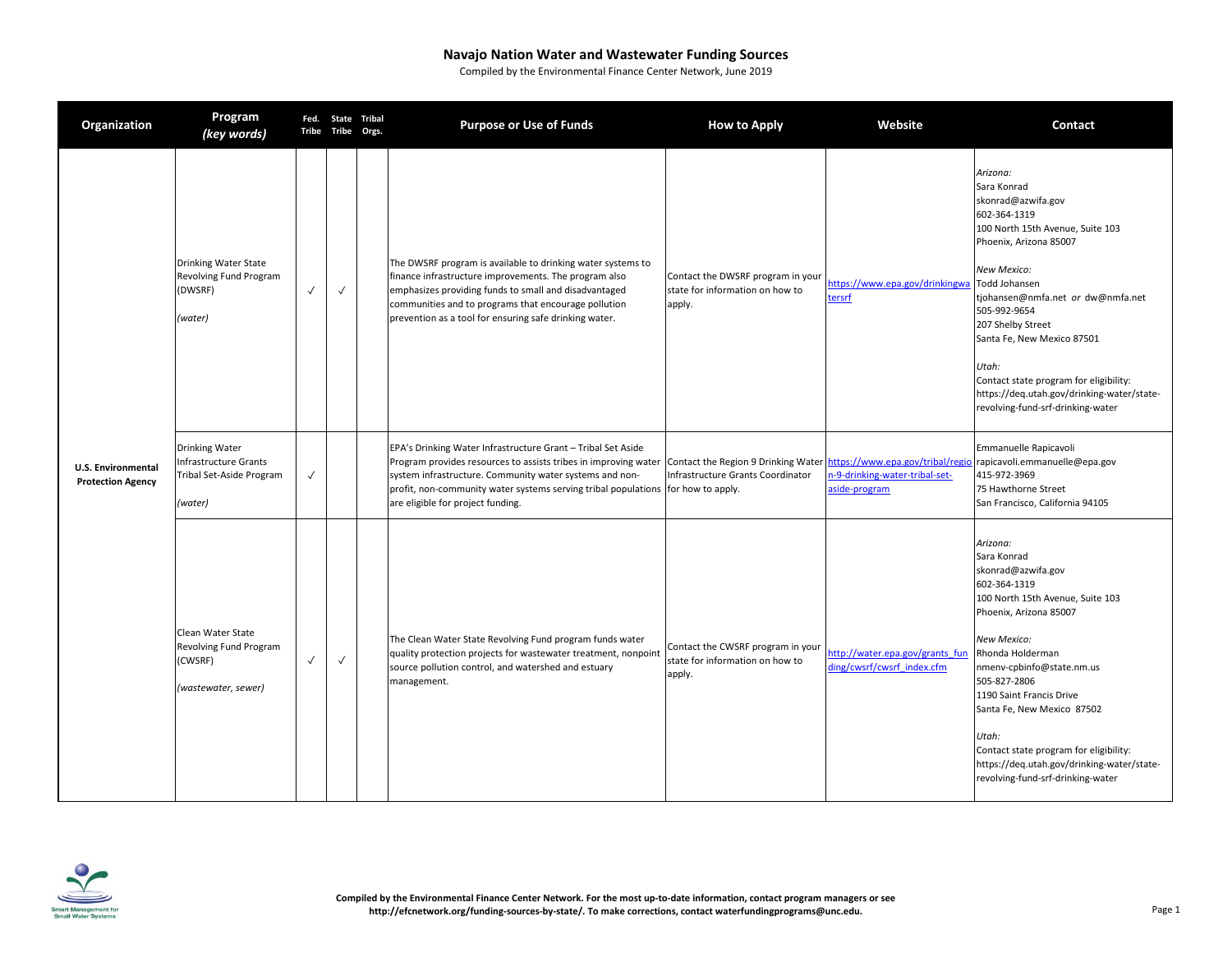| Organization                                          | Program<br>(key words)                                                                       |              | Tribe Tribe Orgs. | Fed. State Tribal | <b>Purpose or Use of Funds</b>                                                                                                                                                                                                                                                                                                                                                           | <b>How to Apply</b>                                                            | Website                                                       | <b>Contact</b>                                                                                                                                                                                                                                                                                                                                                                                              |
|-------------------------------------------------------|----------------------------------------------------------------------------------------------|--------------|-------------------|-------------------|------------------------------------------------------------------------------------------------------------------------------------------------------------------------------------------------------------------------------------------------------------------------------------------------------------------------------------------------------------------------------------------|--------------------------------------------------------------------------------|---------------------------------------------------------------|-------------------------------------------------------------------------------------------------------------------------------------------------------------------------------------------------------------------------------------------------------------------------------------------------------------------------------------------------------------------------------------------------------------|
|                                                       | <b>Drinking Water State</b><br>Revolving Fund Program<br>(DWSRF)<br>(water)                  | $\checkmark$ | $\checkmark$      |                   | The DWSRF program is available to drinking water systems to<br>finance infrastructure improvements. The program also<br>emphasizes providing funds to small and disadvantaged<br>communities and to programs that encourage pollution<br>prevention as a tool for ensuring safe drinking water.                                                                                          | Contact the DWSRF program in your<br>state for information on how to<br>apply. | https://www.epa.gov/drinkingwa<br>tersrf                      | Arizona:<br>Sara Konrad<br>skonrad@azwifa.gov<br>602-364-1319<br>100 North 15th Avenue, Suite 103<br>Phoenix, Arizona 85007<br>New Mexico:<br>Todd Johansen<br>tjohansen@nmfa.net or dw@nmfa.net<br>505-992-9654<br>207 Shelby Street<br>Santa Fe, New Mexico 87501<br>Utah:<br>Contact state program for eligibility:<br>https://deq.utah.gov/drinking-water/state-<br>revolving-fund-srf-drinking-water   |
| <b>U.S. Environmental</b><br><b>Protection Agency</b> | <b>Drinking Water</b><br><b>Infrastructure Grants</b><br>Tribal Set-Aside Program<br>(water) | $\checkmark$ |                   |                   | EPA's Drinking Water Infrastructure Grant - Tribal Set Aside<br>Program provides resources to assists tribes in improving water Contact the Region 9 Drinking Water https://www.epa.gov/tribal/regio<br>system infrastructure. Community water systems and non-<br>profit, non-community water systems serving tribal populations for how to apply.<br>are eligible for project funding. | Infrastructure Grants Coordinator                                              | n-9-drinking-water-tribal-set-<br>aside-program               | Emmanuelle Rapicavoli<br>rapicavoli.emmanuelle@epa.gov<br>415-972-3969<br>75 Hawthorne Street<br>San Francisco, California 94105                                                                                                                                                                                                                                                                            |
|                                                       | Clean Water State<br>Revolving Fund Program<br>(CWSRF)<br>(wastewater, sewer)                | $\checkmark$ | $\checkmark$      |                   | The Clean Water State Revolving Fund program funds water<br>quality protection projects for wastewater treatment, nonpoint<br>source pollution control, and watershed and estuary<br>management.                                                                                                                                                                                         | Contact the CWSRF program in your<br>state for information on how to<br>apply. | http://water.epa.gov/grants fun<br>ding/cwsrf/cwsrf_index.cfm | Arizona:<br>Sara Konrad<br>skonrad@azwifa.gov<br>602-364-1319<br>100 North 15th Avenue, Suite 103<br>Phoenix, Arizona 85007<br>New Mexico:<br>Rhonda Holderman<br>nmenv-cpbinfo@state.nm.us<br>505-827-2806<br>1190 Saint Francis Drive<br>Santa Fe, New Mexico 87502<br>Utah:<br>Contact state program for eligibility:<br>https://deq.utah.gov/drinking-water/state-<br>revolving-fund-srf-drinking-water |

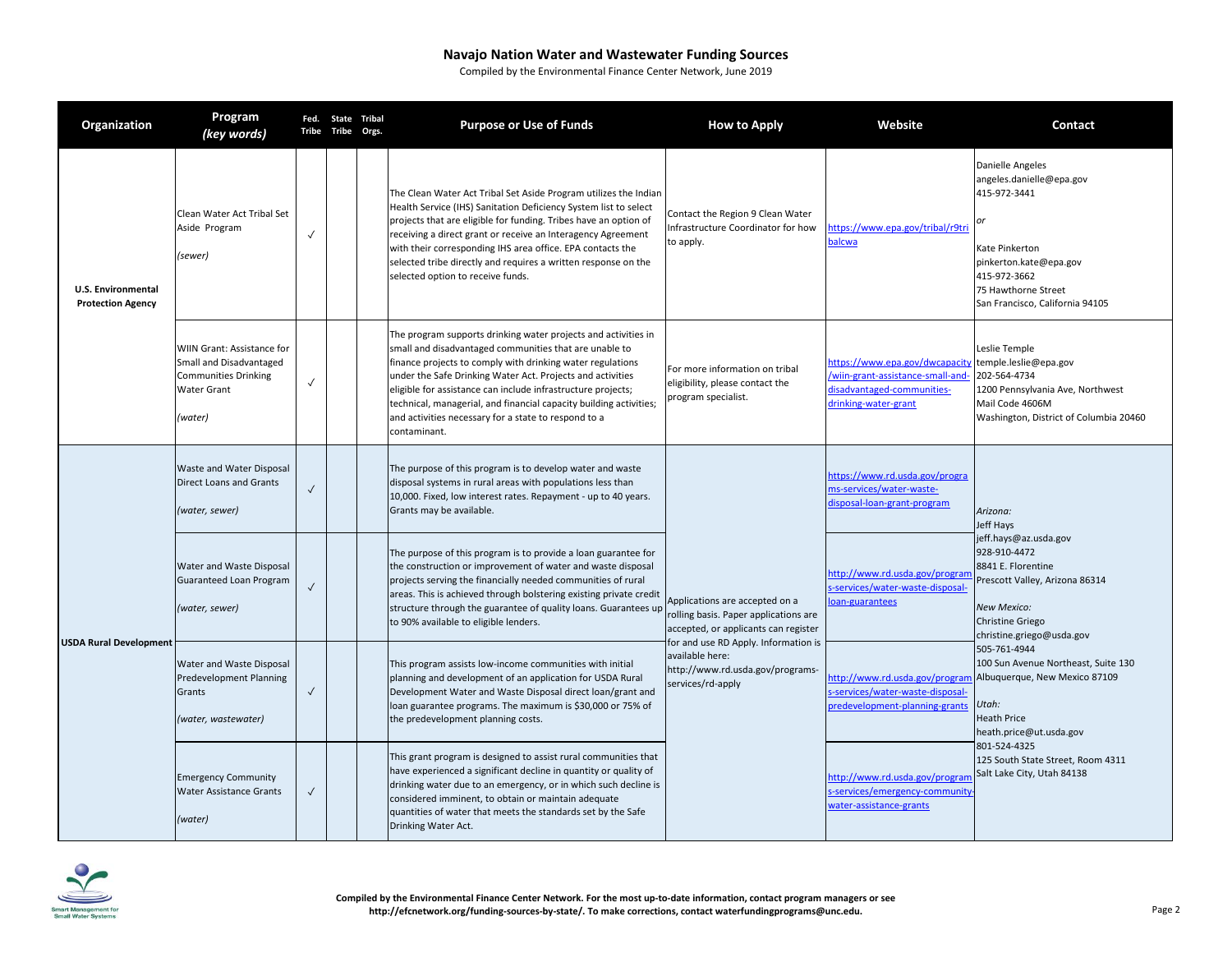|                                                       | Organization                  | Program<br>(key words)                                                                                  | Tribe        | Fed. State Tribal<br>Tribe | Orgs. | <b>Purpose or Use of Funds</b>                                                                                                                                                                                                                                                                                                                                                                                                                                     | <b>How to Apply</b>                                                                                                                                                                                                                                   | Website                                                                                                                  | Contact                                                                                                                                                                                                                                                                                                                                                                                                                            |
|-------------------------------------------------------|-------------------------------|---------------------------------------------------------------------------------------------------------|--------------|----------------------------|-------|--------------------------------------------------------------------------------------------------------------------------------------------------------------------------------------------------------------------------------------------------------------------------------------------------------------------------------------------------------------------------------------------------------------------------------------------------------------------|-------------------------------------------------------------------------------------------------------------------------------------------------------------------------------------------------------------------------------------------------------|--------------------------------------------------------------------------------------------------------------------------|------------------------------------------------------------------------------------------------------------------------------------------------------------------------------------------------------------------------------------------------------------------------------------------------------------------------------------------------------------------------------------------------------------------------------------|
| <b>U.S. Environmental</b><br><b>Protection Agency</b> |                               | Clean Water Act Tribal Set<br>Aside Program<br>(sewer)                                                  | $\checkmark$ |                            |       | The Clean Water Act Tribal Set Aside Program utilizes the Indian<br>Health Service (IHS) Sanitation Deficiency System list to select<br>projects that are eligible for funding. Tribes have an option of<br>receiving a direct grant or receive an Interagency Agreement<br>with their corresponding IHS area office. EPA contacts the<br>selected tribe directly and requires a written response on the<br>selected option to receive funds.                      | Contact the Region 9 Clean Water<br>Infrastructure Coordinator for how<br>to apply.                                                                                                                                                                   | nttps://www.epa.gov/tribal/r9tri<br><b>palcwa</b>                                                                        | Danielle Angeles<br>angeles.danielle@epa.gov<br>415-972-3441<br>Kate Pinkerton<br>pinkerton.kate@epa.gov<br>415-972-3662<br>75 Hawthorne Street<br>San Francisco, California 94105                                                                                                                                                                                                                                                 |
|                                                       |                               | WIIN Grant: Assistance for<br>Small and Disadvantaged<br>Communities Drinking<br>Water Grant<br>(water) | $\checkmark$ |                            |       | The program supports drinking water projects and activities in<br>small and disadvantaged communities that are unable to<br>finance projects to comply with drinking water regulations<br>under the Safe Drinking Water Act. Projects and activities<br>eligible for assistance can include infrastructure projects;<br>technical, managerial, and financial capacity building activities;<br>and activities necessary for a state to respond to a<br>contaminant. | For more information on tribal<br>eligibility, please contact the<br>program specialist.                                                                                                                                                              | nttps://www.epa.gov/dwcapacity<br>wiin-grant-assistance-small-and-<br>disadvantaged-communities-<br>drinking-water-grant | Leslie Temple<br>temple.leslie@epa.gov<br>202-564-4734<br>1200 Pennsylvania Ave, Northwest<br>Mail Code 4606M<br>Washington, District of Columbia 20460                                                                                                                                                                                                                                                                            |
|                                                       |                               | Waste and Water Disposal<br><b>Direct Loans and Grants</b><br>(water, sewer)                            | $\checkmark$ |                            |       | The purpose of this program is to develop water and waste<br>disposal systems in rural areas with populations less than<br>10,000. Fixed, low interest rates. Repayment - up to 40 years.<br>Grants may be available.                                                                                                                                                                                                                                              | Applications are accepted on a<br>oan-guarantees<br>rolling basis. Paper applications are<br>accepted, or applicants can register<br>for and use RD Apply. Information is<br>available here:<br>http://www.rd.usda.gov/programs-<br>services/rd-apply | nttps://www.rd.usda.gov/progra<br>ms-services/water-waste-<br>disposal-loan-grant-program                                | Arizona:<br>Jeff Hays<br>jeff.hays@az.usda.gov<br>928-910-4472<br>8841 E. Florentine<br>Prescott Valley, Arizona 86314<br>New Mexico:<br><b>Christine Griego</b><br>christine.griego@usda.gov<br>505-761-4944<br>100 Sun Avenue Northeast, Suite 130<br>Albuquerque, New Mexico 87109<br>Utah:<br><b>Heath Price</b><br>heath.price@ut.usda.gov<br>801-524-4325<br>125 South State Street, Room 4311<br>Salt Lake City, Utah 84138 |
|                                                       | <b>USDA Rural Development</b> | Water and Waste Disposal<br>Guaranteed Loan Program<br>(water, sewer)                                   | $\checkmark$ |                            |       | The purpose of this program is to provide a loan guarantee for<br>the construction or improvement of water and waste disposal<br>projects serving the financially needed communities of rural<br>areas. This is achieved through bolstering existing private credit<br>structure through the guarantee of quality loans. Guarantees up<br>to 90% available to eligible lenders.                                                                                    |                                                                                                                                                                                                                                                       | http://www.rd.usda.gov/progran<br>s-services/water-waste-disposal-                                                       |                                                                                                                                                                                                                                                                                                                                                                                                                                    |
|                                                       |                               | Water and Waste Disposal<br>Predevelopment Planning<br>Grants<br>(water, wastewater)                    | $\checkmark$ |                            |       | This program assists low-income communities with initial<br>planning and development of an application for USDA Rural<br>Development Water and Waste Disposal direct loan/grant and<br>loan guarantee programs. The maximum is \$30,000 or 75% of<br>the predevelopment planning costs.                                                                                                                                                                            |                                                                                                                                                                                                                                                       | http://www.rd.usda.gov/program<br>-services/water-waste-disposal-<br>oredevelopment-planning-grants                      |                                                                                                                                                                                                                                                                                                                                                                                                                                    |
|                                                       |                               | <b>Emergency Community</b><br>Water Assistance Grants<br>(water)                                        | $\checkmark$ |                            |       | This grant program is designed to assist rural communities that<br>have experienced a significant decline in quantity or quality of<br>drinking water due to an emergency, or in which such decline is<br>considered imminent, to obtain or maintain adequate<br>quantities of water that meets the standards set by the Safe<br>Drinking Water Act.                                                                                                               |                                                                                                                                                                                                                                                       | http://www.rd.usda.gov/progran<br>s-services/emergency-community<br>water-assistance-grants                              |                                                                                                                                                                                                                                                                                                                                                                                                                                    |

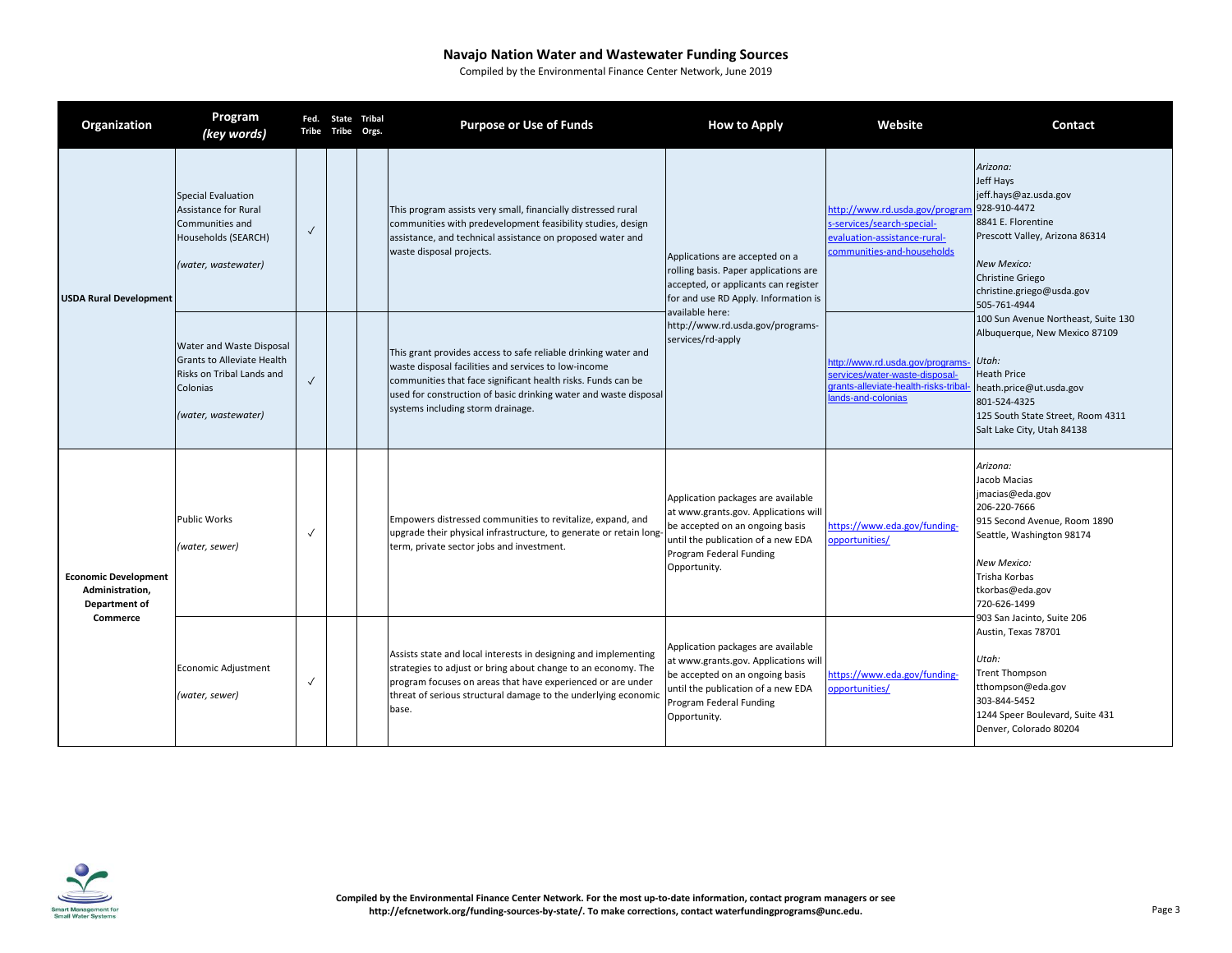|                                                                                    | Organization                                                                                                       | Program<br>(key words)                                                                                                 |              | Fed. State Tribal<br>Tribe Tribe Orgs.                                                                                                                                                                                                                                     | <b>Purpose or Use of Funds</b>                                                                                                                                                                                                                                                                  | <b>How to Apply</b>                                                                                                                                                                            | Website                                                                                                                                                                                                              | Contact                                                                                                                                                                                                                   |
|------------------------------------------------------------------------------------|--------------------------------------------------------------------------------------------------------------------|------------------------------------------------------------------------------------------------------------------------|--------------|----------------------------------------------------------------------------------------------------------------------------------------------------------------------------------------------------------------------------------------------------------------------------|-------------------------------------------------------------------------------------------------------------------------------------------------------------------------------------------------------------------------------------------------------------------------------------------------|------------------------------------------------------------------------------------------------------------------------------------------------------------------------------------------------|----------------------------------------------------------------------------------------------------------------------------------------------------------------------------------------------------------------------|---------------------------------------------------------------------------------------------------------------------------------------------------------------------------------------------------------------------------|
| <b>USDA Rural Development</b>                                                      | Special Evaluation<br><b>Assistance for Rural</b><br>Communities and<br>Households (SEARCH)<br>(water, wastewater) | $\checkmark$                                                                                                           |              | This program assists very small, financially distressed rural<br>communities with predevelopment feasibility studies, design<br>assistance, and technical assistance on proposed water and<br>waste disposal projects.                                                     | Applications are accepted on a<br>rolling basis. Paper applications are<br>accepted, or applicants can register<br>for and use RD Apply. Information is                                                                                                                                         | http://www.rd.usda.gov/program<br>s-services/search-special-<br>evaluation-assistance-rural-<br>communities-and-households                                                                     | Arizona:<br>Jeff Havs<br>jeff.hays@az.usda.gov<br>928-910-4472<br>8841 E. Florentine<br>Prescott Valley, Arizona 86314<br><b>New Mexico:</b><br><b>Christine Griego</b><br>christine.griego@usda.gov<br>505-761-4944 |                                                                                                                                                                                                                           |
|                                                                                    |                                                                                                                    | Water and Waste Disposal<br>Grants to Alleviate Health<br>Risks on Tribal Lands and<br>Colonias<br>(water, wastewater) | $\checkmark$ |                                                                                                                                                                                                                                                                            | This grant provides access to safe reliable drinking water and<br>waste disposal facilities and services to low-income<br>communities that face significant health risks. Funds can be<br>used for construction of basic drinking water and waste disposal<br>systems including storm drainage. | available here:<br>http://www.rd.usda.gov/programs-<br>services/rd-apply                                                                                                                       | http://www.rd.usda.gov/programs<br>ervices/water-waste-disposal-<br>trants-alleviate-health-risks-tribal<br>ands-and-colonias                                                                                        | 100 Sun Avenue Northeast, Suite 130<br>Albuquerque, New Mexico 87109<br>Utah:<br><b>Heath Price</b><br>heath.price@ut.usda.gov<br>801-524-4325<br>125 South State Street, Room 4311<br>Salt Lake City, Utah 84138         |
| <b>Economic Development</b><br>Administration,<br><b>Department of</b><br>Commerce |                                                                                                                    | <b>Public Works</b><br>(water, sewer)                                                                                  | $\sqrt{2}$   |                                                                                                                                                                                                                                                                            | Empowers distressed communities to revitalize, expand, and<br>upgrade their physical infrastructure, to generate or retain long-<br>term, private sector jobs and investment.                                                                                                                   | Application packages are available<br>at www.grants.gov. Applications will<br>be accepted on an ongoing basis<br>until the publication of a new EDA<br>Program Federal Funding<br>Opportunity. | https://www.eda.gov/funding-<br>opportunities/                                                                                                                                                                       | Arizona:<br>Jacob Macias<br>jmacias@eda.gov<br>206-220-7666<br>915 Second Avenue, Room 1890<br>Seattle, Washington 98174<br>New Mexico:<br>Trisha Korbas<br>tkorbas@eda.gov<br>720-626-1499<br>903 San Jacinto, Suite 206 |
|                                                                                    | Economic Adjustment<br>(water, sewer)                                                                              | $\sqrt{2}$                                                                                                             |              | Assists state and local interests in designing and implementing<br>strategies to adjust or bring about change to an economy. The<br>program focuses on areas that have experienced or are under<br>threat of serious structural damage to the underlying economic<br>base. | Application packages are available<br>at www.grants.gov. Applications will<br>be accepted on an ongoing basis<br>until the publication of a new EDA<br>Program Federal Funding<br>Opportunity.                                                                                                  | https://www.eda.gov/funding-<br>opportunities/                                                                                                                                                 | Austin, Texas 78701<br>Utah:<br><b>Trent Thompson</b><br>tthompson@eda.gov<br>303-844-5452<br>1244 Speer Boulevard, Suite 431<br>Denver, Colorado 80204                                                              |                                                                                                                                                                                                                           |

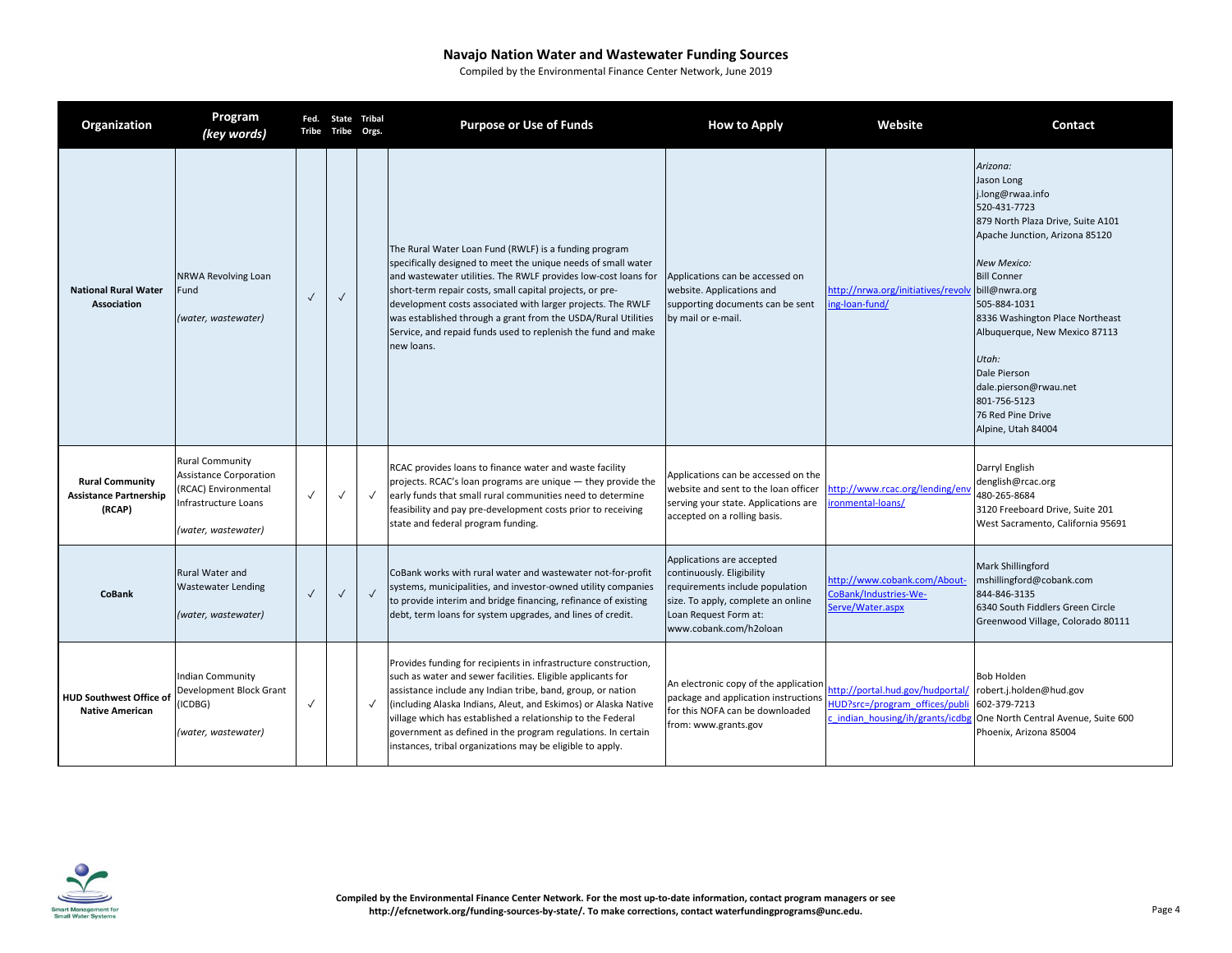| Organization                                                      | Program<br>(key words)                                                                                                  |              | Fed. State Tribal<br>Tribe Tribe Orgs. |              | <b>Purpose or Use of Funds</b>                                                                                                                                                                                                                                                                                                                                                                                                                                      | <b>How to Apply</b>                                                                                                                                                                | Website                                                                                              | Contact                                                                                                                                                                                                                                                                                                                                                                        |
|-------------------------------------------------------------------|-------------------------------------------------------------------------------------------------------------------------|--------------|----------------------------------------|--------------|---------------------------------------------------------------------------------------------------------------------------------------------------------------------------------------------------------------------------------------------------------------------------------------------------------------------------------------------------------------------------------------------------------------------------------------------------------------------|------------------------------------------------------------------------------------------------------------------------------------------------------------------------------------|------------------------------------------------------------------------------------------------------|--------------------------------------------------------------------------------------------------------------------------------------------------------------------------------------------------------------------------------------------------------------------------------------------------------------------------------------------------------------------------------|
| <b>National Rural Water</b><br><b>Association</b>                 | NRWA Revolving Loan<br>Fund<br>(water, wastewater)                                                                      | $\checkmark$ | $\checkmark$                           |              | The Rural Water Loan Fund (RWLF) is a funding program<br>specifically designed to meet the unique needs of small water<br>and wastewater utilities. The RWLF provides low-cost loans for<br>short-term repair costs, small capital projects, or pre-<br>development costs associated with larger projects. The RWLF<br>was established through a grant from the USDA/Rural Utilities<br>Service, and repaid funds used to replenish the fund and make<br>new loans. | Applications can be accessed on<br>website. Applications and<br>supporting documents can be sent<br>by mail or e-mail.                                                             | nttp://nrwa.org/initiatives/revolv bill@nwra.org<br>ng-loan-fund/                                    | Arizona:<br>Jason Long<br>j.long@rwaa.info<br>520-431-7723<br>879 North Plaza Drive, Suite A101<br>Apache Junction, Arizona 85120<br><b>New Mexico:</b><br><b>Bill Conner</b><br>505-884-1031<br>8336 Washington Place Northeast<br>Albuquerque, New Mexico 87113<br>Utah:<br>Dale Pierson<br>dale.pierson@rwau.net<br>801-756-5123<br>76 Red Pine Drive<br>Alpine, Utah 84004 |
| <b>Rural Community</b><br><b>Assistance Partnership</b><br>(RCAP) | <b>Rural Community</b><br>Assistance Corporation<br>(RCAC) Environmental<br>Infrastructure Loans<br>(water, wastewater) | $\checkmark$ | $\checkmark$                           | $\checkmark$ | RCAC provides loans to finance water and waste facility<br>projects. RCAC's loan programs are unique - they provide the<br>early funds that small rural communities need to determine<br>feasibility and pay pre-development costs prior to receiving<br>state and federal program funding.                                                                                                                                                                         | Applications can be accessed on the<br>website and sent to the loan officer<br>serving your state. Applications are<br>accepted on a rolling basis.                                | http://www.rcac.org/lending/env<br>ronmental-loans/                                                  | Darryl English<br>denglish@rcac.org<br>480-265-8684<br>3120 Freeboard Drive, Suite 201<br>West Sacramento, California 95691                                                                                                                                                                                                                                                    |
| <b>CoBank</b>                                                     | <b>Rural Water and</b><br><b>Wastewater Lending</b><br>(water, wastewater)                                              | $\checkmark$ | $\checkmark$                           | $\checkmark$ | CoBank works with rural water and wastewater not-for-profit<br>systems, municipalities, and investor-owned utility companies<br>to provide interim and bridge financing, refinance of existing<br>debt, term loans for system upgrades, and lines of credit.                                                                                                                                                                                                        | Applications are accepted<br>continuously. Eligibility<br>requirements include population<br>size. To apply, complete an online<br>Loan Request Form at:<br>www.cobank.com/h2oloan | ttp://www.cobank.com/About-<br>CoBank/Industries-We-<br>Serve/Water.aspx                             | Mark Shillingford<br>mshillingford@cobank.com<br>844-846-3135<br>6340 South Fiddlers Green Circle<br>Greenwood Village, Colorado 80111                                                                                                                                                                                                                                         |
| <b>HUD Southwest Office of</b><br><b>Native American</b>          | <b>Indian Community</b><br>Development Block Grant<br>(ICDBG)<br>(water, wastewater)                                    | $\checkmark$ |                                        | $\checkmark$ | Provides funding for recipients in infrastructure construction,<br>such as water and sewer facilities. Eligible applicants for<br>assistance include any Indian tribe, band, group, or nation<br>including Alaska Indians, Aleut, and Eskimos) or Alaska Native<br>village which has established a relationship to the Federal<br>government as defined in the program regulations. In certain<br>instances, tribal organizations may be eligible to apply.         | An electronic copy of the application<br>package and application instructions<br>for this NOFA can be downloaded<br>from: www.grants.gov                                           | http://portal.hud.gov/hudportal/<br>HUD?src=/program offices/publi<br>indian housing/ih/grants/icdbg | <b>Bob Holden</b><br>robert.j.holden@hud.gov<br>602-379-7213<br>One North Central Avenue, Suite 600<br>Phoenix, Arizona 85004                                                                                                                                                                                                                                                  |

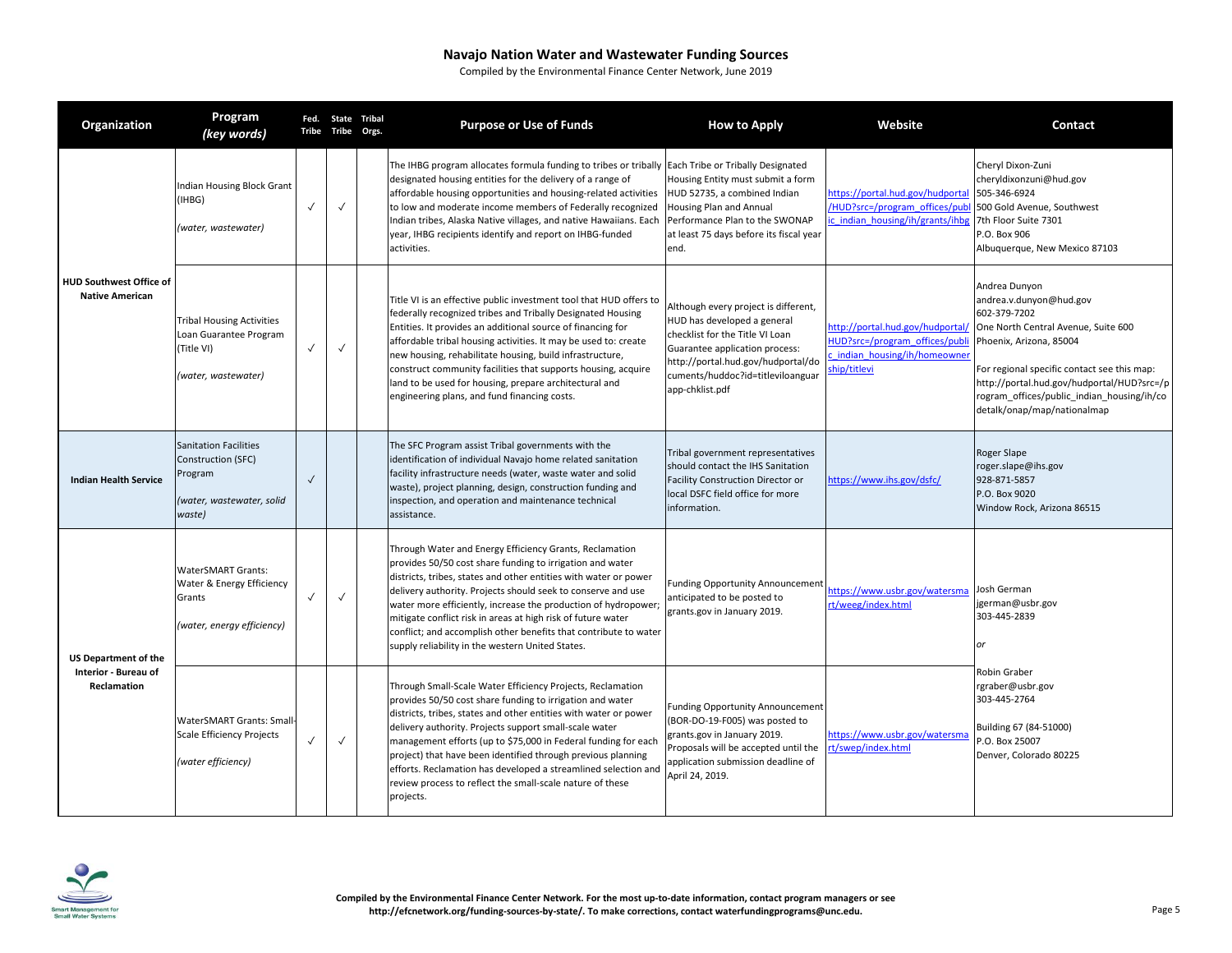| Organization                                                       | Program<br>(key words)                                                                               |              | Fed. State Tribal<br>Tribe Tribe | Orgs. | <b>Purpose or Use of Funds</b>                                                                                                                                                                                                                                                                                                                                                                                                                                                                                                      | <b>How to Apply</b>                                                                                                                                                                                                                    | Website                                                                                                          | Contact                                                                                                                                                                                                                                                                                              |
|--------------------------------------------------------------------|------------------------------------------------------------------------------------------------------|--------------|----------------------------------|-------|-------------------------------------------------------------------------------------------------------------------------------------------------------------------------------------------------------------------------------------------------------------------------------------------------------------------------------------------------------------------------------------------------------------------------------------------------------------------------------------------------------------------------------------|----------------------------------------------------------------------------------------------------------------------------------------------------------------------------------------------------------------------------------------|------------------------------------------------------------------------------------------------------------------|------------------------------------------------------------------------------------------------------------------------------------------------------------------------------------------------------------------------------------------------------------------------------------------------------|
| <b>HUD Southwest Office of</b><br><b>Native American</b>           | <b>Indian Housing Block Grant</b><br>(IHBG)<br>(water, wastewater)                                   | $\checkmark$ | $\checkmark$                     |       | The IHBG program allocates formula funding to tribes or tribally Each Tribe or Tribally Designated<br>designated housing entities for the delivery of a range of<br>affordable housing opportunities and housing-related activities<br>to low and moderate income members of Federally recognized<br>Indian tribes, Alaska Native villages, and native Hawaiians. Each<br>year, IHBG recipients identify and report on IHBG-funded<br>activities.                                                                                   | Housing Entity must submit a form<br>HUD 52735, a combined Indian<br><b>Housing Plan and Annual</b><br>Performance Plan to the SWONAP<br>at least 75 days before its fiscal year<br>end.                                               | https://portal.hud.gov/hudportal<br>HUD?src=/program_offices/publ/<br>c indian housing/ih/grants/ihbg            | Cheryl Dixon-Zuni<br>cheryldixonzuni@hud.gov<br>505-346-6924<br>500 Gold Avenue, Southwest<br>7th Floor Suite 7301<br>P.O. Box 906<br>Albuquerque, New Mexico 87103                                                                                                                                  |
|                                                                    | <b>Tribal Housing Activities</b><br>Loan Guarantee Program<br>(Title VI)<br>(water, wastewater)      | $\checkmark$ | $\checkmark$                     |       | Title VI is an effective public investment tool that HUD offers to<br>federally recognized tribes and Tribally Designated Housing<br>Entities. It provides an additional source of financing for<br>affordable tribal housing activities. It may be used to: create<br>new housing, rehabilitate housing, build infrastructure,<br>construct community facilities that supports housing, acquire<br>land to be used for housing, prepare architectural and<br>engineering plans, and fund financing costs.                          | Although every project is different,<br>HUD has developed a general<br>checklist for the Title VI Loan<br>Guarantee application process:<br>http://portal.hud.gov/hudportal/do<br>cuments/huddoc?id=titleviloanguar<br>app-chklist.pdf | //ttp://portal.hud.gov/hudportal<br>HUD?src=/program_offices/publi<br>indian housing/ih/homeowner<br>hip/titlevi | Andrea Dunyon<br>andrea.v.dunyon@hud.gov<br>602-379-7202<br>One North Central Avenue, Suite 600<br>Phoenix, Arizona, 85004<br>For regional specific contact see this map:<br>http://portal.hud.gov/hudportal/HUD?src=/p<br>rogram offices/public indian housing/ih/co<br>detalk/onap/map/nationalmap |
| <b>Indian Health Service</b>                                       | <b>Sanitation Facilities</b><br>Construction (SFC)<br>Program<br>(water, wastewater, solid<br>waste) | $\checkmark$ |                                  |       | The SFC Program assist Tribal governments with the<br>identification of individual Navajo home related sanitation<br>facility infrastructure needs (water, waste water and solid<br>waste), project planning, design, construction funding and<br>inspection, and operation and maintenance technical<br>assistance.                                                                                                                                                                                                                | Tribal government representatives<br>should contact the IHS Sanitation<br>Facility Construction Director or<br>local DSFC field office for more<br>information.                                                                        | https://www.ihs.gov/dsfc/                                                                                        | Roger Slape<br>roger.slape@ihs.gov<br>928-871-5857<br>P.O. Box 9020<br>Window Rock, Arizona 86515                                                                                                                                                                                                    |
| <b>US Department of the</b><br>Interior - Bureau of<br>Reclamation | <b>WaterSMART Grants:</b><br>Water & Energy Efficiency<br>Grants<br>(water, energy efficiency)       | $\checkmark$ | $\checkmark$                     |       | Through Water and Energy Efficiency Grants, Reclamation<br>provides 50/50 cost share funding to irrigation and water<br>districts, tribes, states and other entities with water or power<br>delivery authority. Projects should seek to conserve and use<br>water more efficiently, increase the production of hydropower;<br>mitigate conflict risk in areas at high risk of future water<br>conflict; and accomplish other benefits that contribute to water<br>supply reliability in the western United States.                  | <b>Funding Opportunity Announcement</b><br>anticipated to be posted to<br>grants.gov in January 2019.                                                                                                                                  | https://www.usbr.gov/watersma<br>rt/weeg/index.html                                                              | Josh German<br>jgerman@usbr.gov<br>303-445-2839<br>or                                                                                                                                                                                                                                                |
|                                                                    | <b>WaterSMART Grants: Small</b><br>Scale Efficiency Projects<br>(water efficiency)                   | $\checkmark$ | $\checkmark$                     |       | Through Small-Scale Water Efficiency Projects, Reclamation<br>provides 50/50 cost share funding to irrigation and water<br>districts, tribes, states and other entities with water or power<br>delivery authority. Projects support small-scale water<br>management efforts (up to \$75,000 in Federal funding for each<br>project) that have been identified through previous planning<br>efforts. Reclamation has developed a streamlined selection and<br>review process to reflect the small-scale nature of these<br>projects. | <b>Funding Opportunity Announcement</b><br>(BOR-DO-19-F005) was posted to<br>grants.gov in January 2019.<br>Proposals will be accepted until the<br>application submission deadline of<br>April 24, 2019.                              | https://www.usbr.gov/watersma<br>t/swep/index.html                                                               | Robin Graber<br>rgraber@usbr.gov<br>303-445-2764<br>Building 67 (84-51000)<br>P.O. Box 25007<br>Denver, Colorado 80225                                                                                                                                                                               |